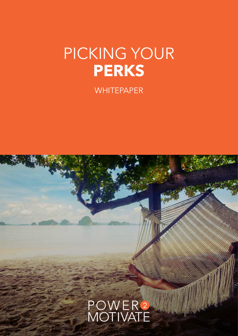# PICKING YOUR **PERKS**

**WHITEPAPER** 

# POWER<sup>2</sup><br>MOTIVATE

**1. PICKING YOUR PERSONAL PROPERTY POWER**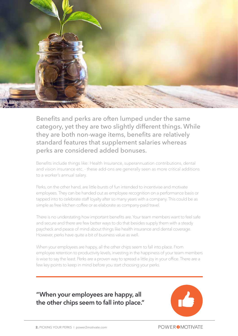

Benefits and perks are often lumped under the same category, yet they are two slightly different things. While they are both non-wage items, benefits are relatively standard features that supplement salaries whereas perks are considered added bonuses.

Benefits include things like: Health Insurance, superannuation contributions, dental and vision insurance etc. - these add-ons are generally seen as more critical additions to a worker's annual salary.

Perks, on the other hand, are little bursts of fun intended to incentivise and motivate employees. They can be handed out as employee recognition on a performance basis or tapped into to celebrate staff loyalty after so many years with a company. This could be as simple as free kitchen coffee or as elaborate as company-paid travel.

There is no understating how important benefits are. Your team members want to feel safe and secure and there are few better ways to do that besides supply them with a steady paycheck and peace of mind about things like health insurance and dental coverage. However, perks have quite a bit of business value as well.

When your employees are happy, all the other chips seem to fall into place. From employee retention to productivity levels, investing in the happiness of your team members is wise to say the least. Perks are a proven way to spread a little joy in your office. There are a few key points to keep in mind before you start choosing your perks.

**"When your employees are happy, all the other chips seem to fall into place."** 

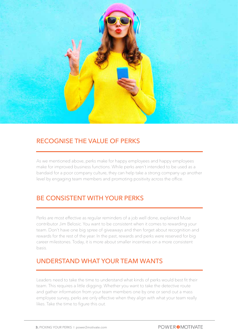

#### RECOGNISE THE VALUE OF PERKS

As we mentioned above, perks make for happy employees and happy employees make for improved business functions. While perks aren't intended to be used as a bandaid for a poor company culture, they can help take a strong company up another level by engaging team members and promoting positivity across the office.

## BE CONSISTENT WITH YOUR PERKS

Perks are most effective as regular reminders of a job well done, explained Muse contributor Jim Belosic. You want to be consistent when it comes to rewarding your team. Don't have one big spree of giveaways and then forget about recognition and rewards for the rest of the year. In the past, rewards and perks were reserved for big career milestones. Today, it is more about smaller incentives on a more consistent basis.

## UNDERSTAND WHAT YOUR TEAM WANTS

Leaders need to take the time to understand what kinds of perks would best fit their team. This requires a little digging. Whether you want to take the detective route and gather information from your team members one by one or send out a mass employee survey, perks are only effective when they align with what your team really likes. Take the time to figure this out.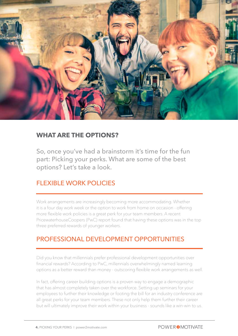

#### **WHAT ARE THE OPTIONS?**

So, once you've had a brainstorm it's time for the fun part: Picking your perks. What are some of the best options? Let's take a look.

#### FLEXIBLE WORK POLICIES

Work arrangements are increasingly becoming more accommodating. Whether it is a four day work week or the option to work from home on occasion - offering more flexible work policies is a great perk for your team members. A recent PricewaterhouseCoopers (PwC) report found that having these options was in the top three preferred rewards of younger workers.

#### PROFESSIONAL DEVELOPMENT OPPORTUNITIES

Did you know that millennials prefer professional development opportunities over financial rewards? According to PwC, millennials overwhelmingly named learning options as a better reward than money - outscoring flexible work arrangements as well.

In fact, offering career building options is a proven way to engage a demographic that has almost completely taken over the workforce. Setting up seminars for your employees to further their knowledge or footing the bill for an industry conference are all great perks for your team members. These not only help them further their career but will ultimately improve their work within your business - sounds like a win-win to us.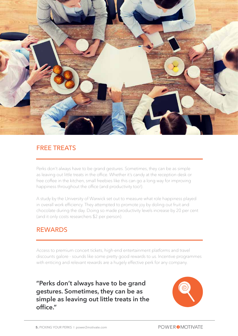

#### FREE TREATS

Perks don't always have to be grand gestures. Sometimes, they can be as simple as leaving out little treats in the office. Whether it's candy at the reception desk or free coffee in the kitchen, small freebies like this can go a long way for improving happiness throughout the office (and productivity too!).

A study by the University of Warwick set out to measure what role happiness played in overall work efficiency. They attempted to promote joy by doling out fruit and chocolate during the day. Doing so made productivity levels increase by 20 per cent (and it only costs researchers \$2 per person).

#### REWARDS

Access to premium concert tickets, high-end entertainment platforms and travel discounts galore - sounds like some pretty good rewards to us. Incentive programmes with enticing and relevant rewards are a hugely effective perk for any company.

**"Perks don't always have to be grand gestures. Sometimes, they can be as simple as leaving out little treats in the office."**